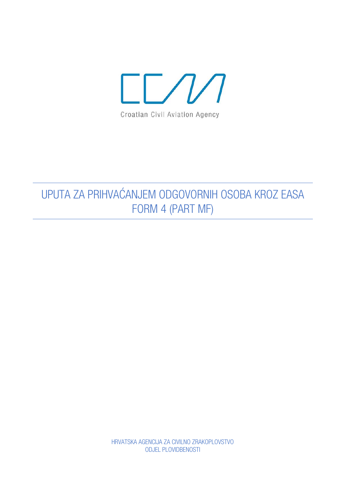

## UPUTA ZA PRIHVAĆANJEM ODGOVORNIH OSOBA KROZ EASA FORM 4 (PART MF)

HRVATSKA AGENCIJA ZA CIVILNO ZRAKOPLOVSTVO **ODJEL PLOVIDBENOSTI**